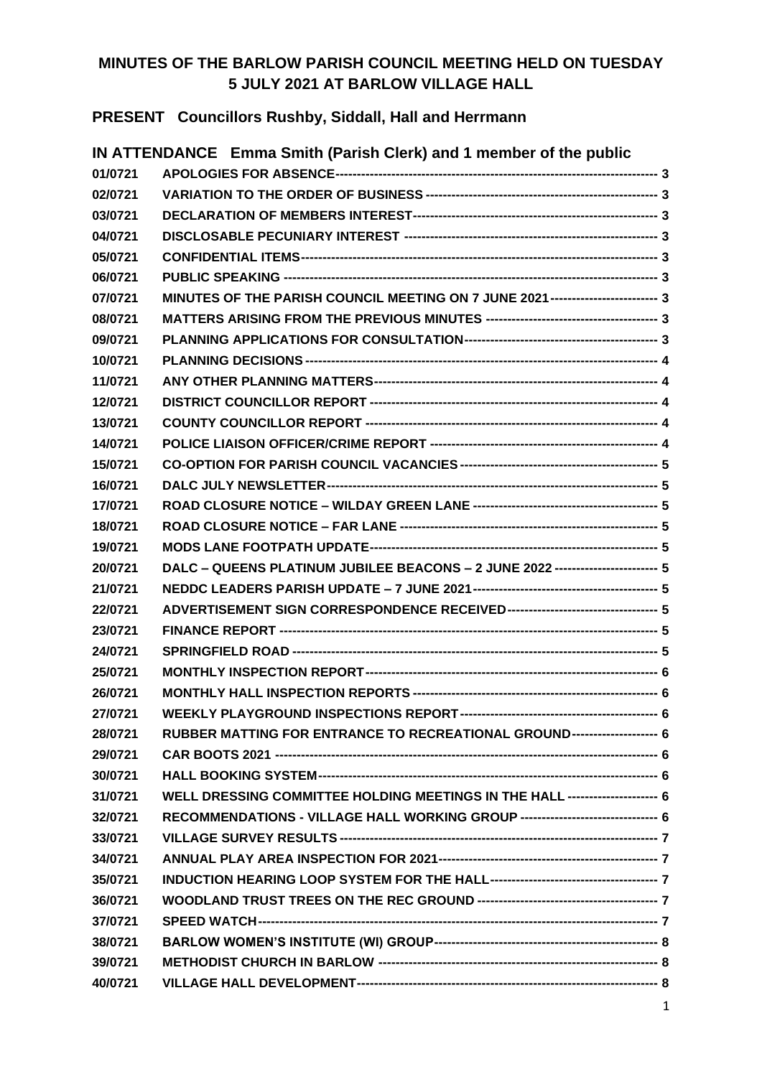## **MINUTES OF THE BARLOW PARISH COUNCIL MEETING HELD ON TUESDAY 5 JULY 2021 AT BARLOW VILLAGE HALL**

**PRESENT Councillors Rushby, Siddall, Hall and Herrmann**

|         | IN ATTENDANCE Emma Smith (Parish Clerk) and 1 member of the public              |  |
|---------|---------------------------------------------------------------------------------|--|
| 01/0721 |                                                                                 |  |
| 02/0721 |                                                                                 |  |
| 03/0721 |                                                                                 |  |
| 04/0721 |                                                                                 |  |
| 05/0721 |                                                                                 |  |
| 06/0721 |                                                                                 |  |
| 07/0721 | MINUTES OF THE PARISH COUNCIL MEETING ON 7 JUNE 2021------------------------ 3  |  |
| 08/0721 |                                                                                 |  |
| 09/0721 |                                                                                 |  |
| 10/0721 |                                                                                 |  |
| 11/0721 |                                                                                 |  |
| 12/0721 |                                                                                 |  |
| 13/0721 |                                                                                 |  |
| 14/0721 |                                                                                 |  |
| 15/0721 |                                                                                 |  |
| 16/0721 |                                                                                 |  |
| 17/0721 |                                                                                 |  |
| 18/0721 |                                                                                 |  |
| 19/0721 |                                                                                 |  |
| 20/0721 | DALC - QUEENS PLATINUM JUBILEE BEACONS - 2 JUNE 2022 ----------------------- 5  |  |
| 21/0721 |                                                                                 |  |
| 22/0721 |                                                                                 |  |
| 23/0721 |                                                                                 |  |
| 24/0721 |                                                                                 |  |
| 25/0721 |                                                                                 |  |
| 26/0721 |                                                                                 |  |
| 27/0721 |                                                                                 |  |
| 28/0721 | RUBBER MATTING FOR ENTRANCE TO RECREATIONAL GROUND-------------------- 6        |  |
| 29/0721 |                                                                                 |  |
| 30/0721 |                                                                                 |  |
| 31/0721 | WELL DRESSING COMMITTEE HOLDING MEETINGS IN THE HALL --------------------- 6    |  |
| 32/0721 | RECOMMENDATIONS - VILLAGE HALL WORKING GROUP -------------------------------- 6 |  |
| 33/0721 |                                                                                 |  |
| 34/0721 |                                                                                 |  |
| 35/0721 |                                                                                 |  |
| 36/0721 |                                                                                 |  |
| 37/0721 |                                                                                 |  |
| 38/0721 |                                                                                 |  |
| 39/0721 |                                                                                 |  |
| 40/0721 |                                                                                 |  |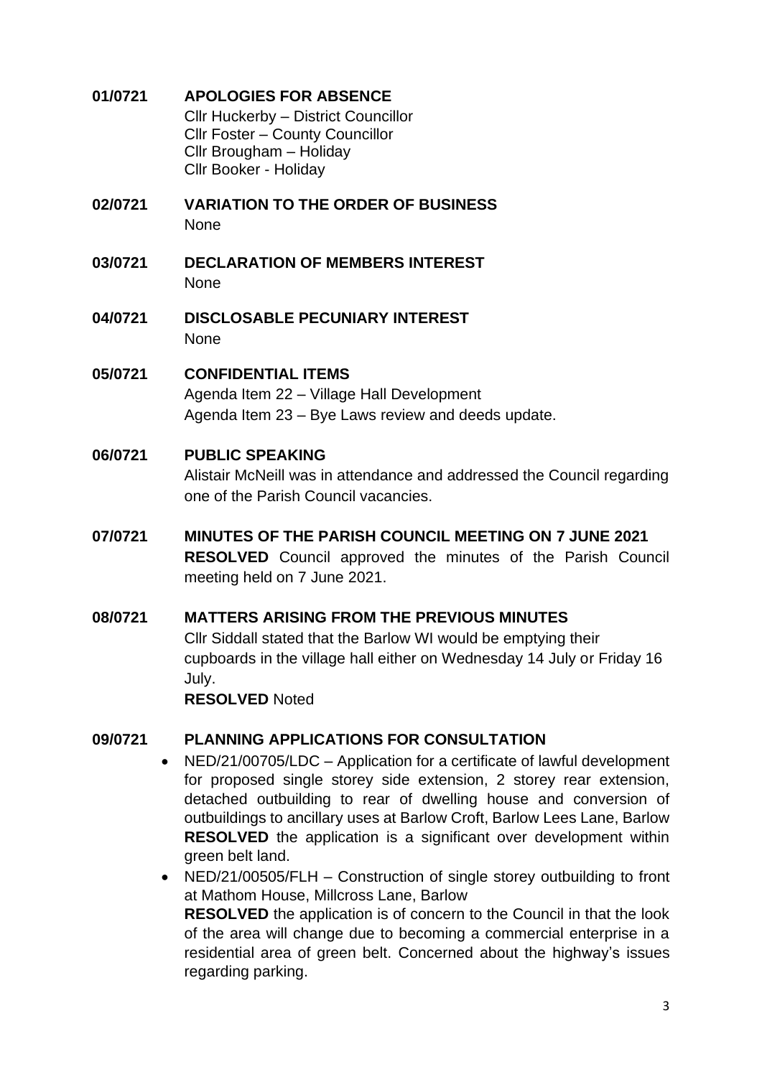<span id="page-2-0"></span>**01/0721 APOLOGIES FOR ABSENCE** Cllr Huckerby – District Councillor Cllr Foster – County Councillor Cllr Brougham – Holiday Cllr Booker - Holiday

- <span id="page-2-1"></span>**02/0721 VARIATION TO THE ORDER OF BUSINESS** None
- <span id="page-2-2"></span>**03/0721 DECLARATION OF MEMBERS INTEREST** None
- <span id="page-2-3"></span>**04/0721 DISCLOSABLE PECUNIARY INTEREST** None

## <span id="page-2-4"></span>**05/0721 CONFIDENTIAL ITEMS** Agenda Item 22 – Village Hall Development Agenda Item 23 – Bye Laws review and deeds update.

## <span id="page-2-5"></span>**06/0721 PUBLIC SPEAKING**

Alistair McNeill was in attendance and addressed the Council regarding one of the Parish Council vacancies.

<span id="page-2-6"></span>**07/0721 MINUTES OF THE PARISH COUNCIL MEETING ON 7 JUNE 2021 RESOLVED** Council approved the minutes of the Parish Council meeting held on 7 June 2021.

### <span id="page-2-7"></span>**08/0721 MATTERS ARISING FROM THE PREVIOUS MINUTES**

Cllr Siddall stated that the Barlow WI would be emptying their cupboards in the village hall either on Wednesday 14 July or Friday 16 July.

**RESOLVED** Noted

## <span id="page-2-8"></span>**09/0721 PLANNING APPLICATIONS FOR CONSULTATION**

- NED/21/00705/LDC Application for a certificate of lawful development for proposed single storey side extension, 2 storey rear extension, detached outbuilding to rear of dwelling house and conversion of outbuildings to ancillary uses at Barlow Croft, Barlow Lees Lane, Barlow **RESOLVED** the application is a significant over development within green belt land.
- NED/21/00505/FLH Construction of single storey outbuilding to front at Mathom House, Millcross Lane, Barlow **RESOLVED** the application is of concern to the Council in that the look of the area will change due to becoming a commercial enterprise in a residential area of green belt. Concerned about the highway's issues regarding parking.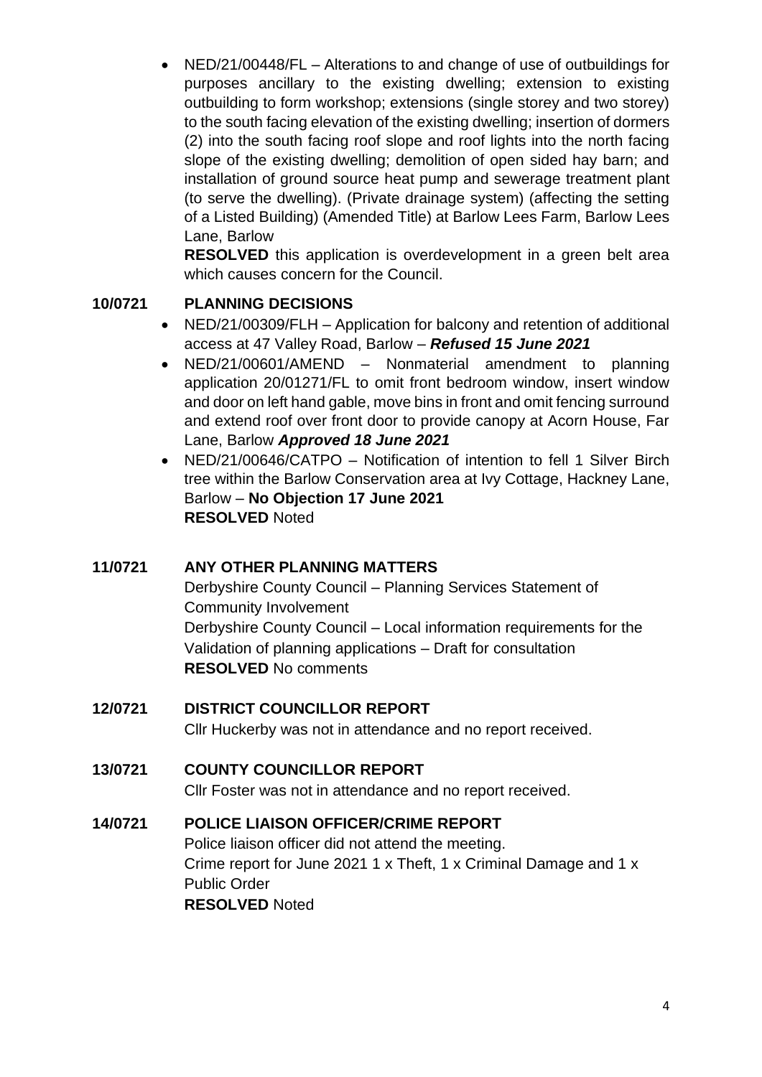• NED/21/00448/FL – Alterations to and change of use of outbuildings for purposes ancillary to the existing dwelling; extension to existing outbuilding to form workshop; extensions (single storey and two storey) to the south facing elevation of the existing dwelling; insertion of dormers (2) into the south facing roof slope and roof lights into the north facing slope of the existing dwelling; demolition of open sided hay barn; and installation of ground source heat pump and sewerage treatment plant (to serve the dwelling). (Private drainage system) (affecting the setting of a Listed Building) (Amended Title) at Barlow Lees Farm, Barlow Lees Lane, Barlow

**RESOLVED** this application is overdevelopment in a green belt area which causes concern for the Council.

### <span id="page-3-0"></span>**10/0721 PLANNING DECISIONS**

- NED/21/00309/FLH Application for balcony and retention of additional access at 47 Valley Road, Barlow – *Refused 15 June 2021*
- NED/21/00601/AMEND Nonmaterial amendment to planning application 20/01271/FL to omit front bedroom window, insert window and door on left hand gable, move bins in front and omit fencing surround and extend roof over front door to provide canopy at Acorn House, Far Lane, Barlow *Approved 18 June 2021*
- NED/21/00646/CATPO Notification of intention to fell 1 Silver Birch tree within the Barlow Conservation area at Ivy Cottage, Hackney Lane, Barlow – **No Objection 17 June 2021 RESOLVED** Noted

## <span id="page-3-1"></span>**11/0721 ANY OTHER PLANNING MATTERS**

Derbyshire County Council – Planning Services Statement of Community Involvement Derbyshire County Council – Local information requirements for the Validation of planning applications – Draft for consultation **RESOLVED** No comments

# <span id="page-3-2"></span>**12/0721 DISTRICT COUNCILLOR REPORT**

Cllr Huckerby was not in attendance and no report received.

## <span id="page-3-3"></span>**13/0721 COUNTY COUNCILLOR REPORT**

Cllr Foster was not in attendance and no report received.

### <span id="page-3-4"></span>**14/0721 POLICE LIAISON OFFICER/CRIME REPORT**

Police liaison officer did not attend the meeting. Crime report for June 2021 1 x Theft, 1 x Criminal Damage and 1 x Public Order **RESOLVED** Noted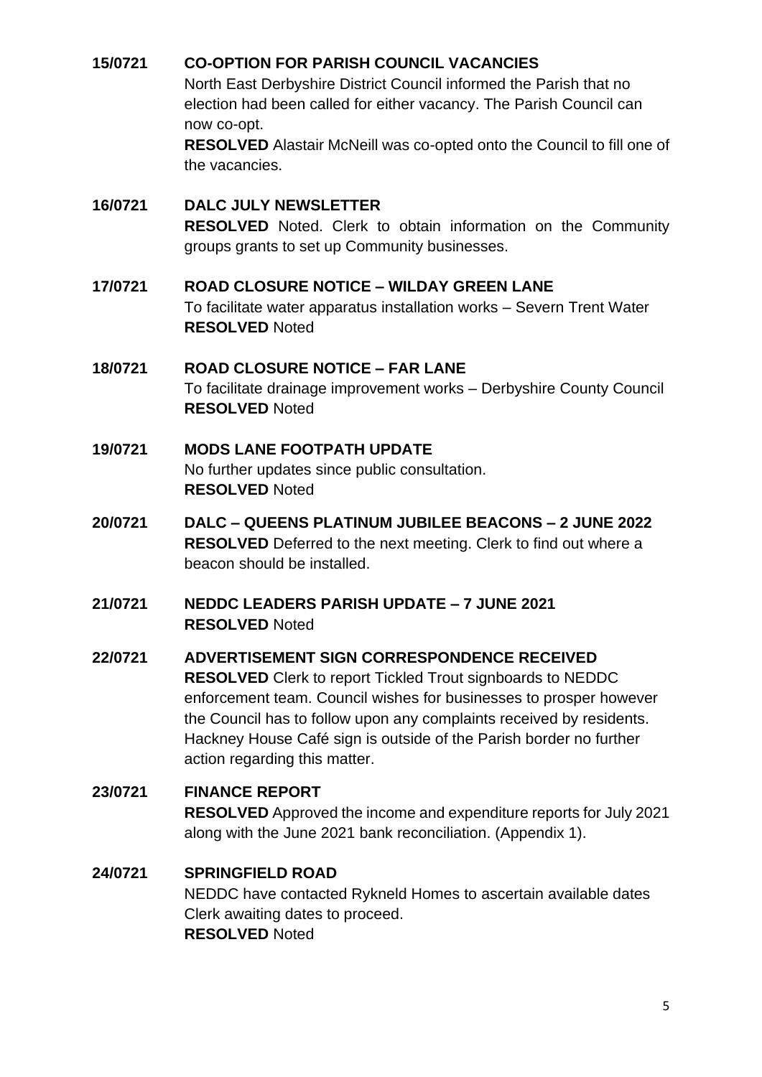## <span id="page-4-0"></span>**15/0721 CO-OPTION FOR PARISH COUNCIL VACANCIES**

North East Derbyshire District Council informed the Parish that no election had been called for either vacancy. The Parish Council can now co-opt.

**RESOLVED** Alastair McNeill was co-opted onto the Council to fill one of the vacancies.

#### <span id="page-4-1"></span>**16/0721 DALC JULY NEWSLETTER**

**RESOLVED** Noted. Clerk to obtain information on the Community groups grants to set up Community businesses.

#### <span id="page-4-2"></span>**17/0721 ROAD CLOSURE NOTICE – WILDAY GREEN LANE**

To facilitate water apparatus installation works – Severn Trent Water **RESOLVED** Noted

## <span id="page-4-3"></span>**18/0721 ROAD CLOSURE NOTICE – FAR LANE** To facilitate drainage improvement works – Derbyshire County Council **RESOLVED** Noted

## <span id="page-4-4"></span>**19/0721 MODS LANE FOOTPATH UPDATE** No further updates since public consultation. **RESOLVED** Noted

<span id="page-4-5"></span>**20/0721 DALC – QUEENS PLATINUM JUBILEE BEACONS – 2 JUNE 2022 RESOLVED** Deferred to the next meeting. Clerk to find out where a beacon should be installed.

#### <span id="page-4-6"></span>**21/0721 NEDDC LEADERS PARISH UPDATE – 7 JUNE 2021 RESOLVED** Noted

## <span id="page-4-7"></span>**22/0721 ADVERTISEMENT SIGN CORRESPONDENCE RECEIVED RESOLVED** Clerk to report Tickled Trout signboards to NEDDC enforcement team. Council wishes for businesses to prosper however the Council has to follow upon any complaints received by residents. Hackney House Café sign is outside of the Parish border no further action regarding this matter.

### <span id="page-4-8"></span>**23/0721 FINANCE REPORT**

**RESOLVED** Approved the income and expenditure reports for July 2021 along with the June 2021 bank reconciliation. (Appendix 1).

## <span id="page-4-9"></span>**24/0721 SPRINGFIELD ROAD**

NEDDC have contacted Rykneld Homes to ascertain available dates Clerk awaiting dates to proceed. **RESOLVED** Noted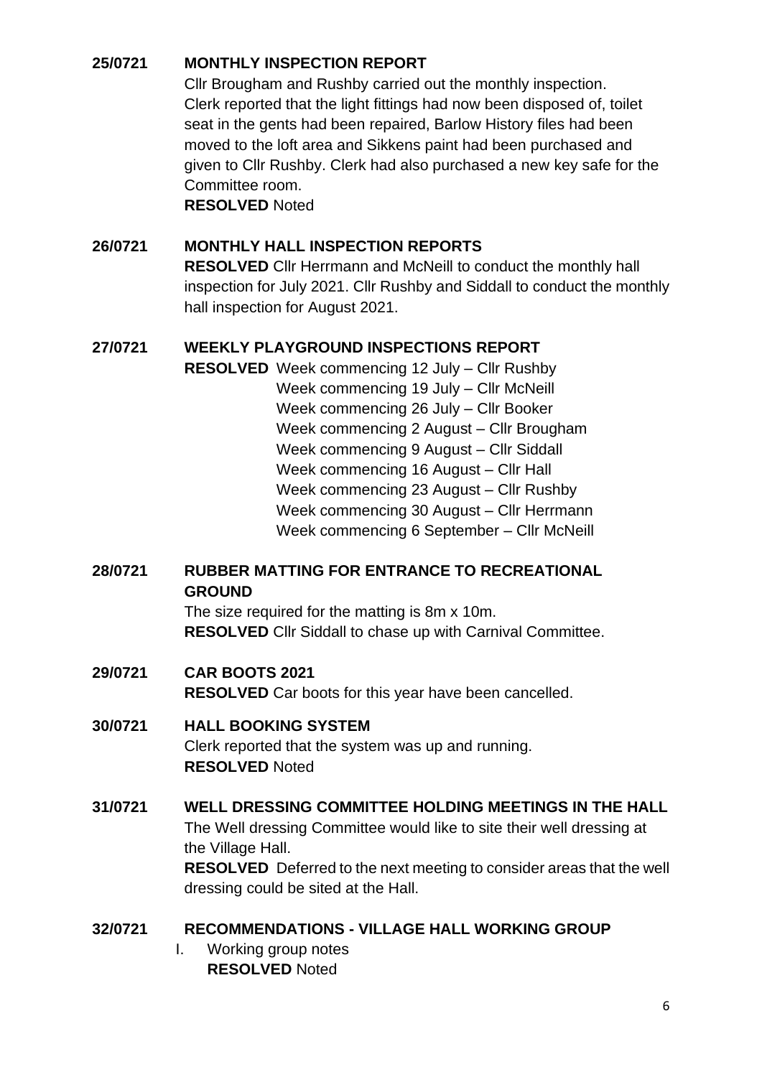## <span id="page-5-0"></span>**25/0721 MONTHLY INSPECTION REPORT**

Cllr Brougham and Rushby carried out the monthly inspection. Clerk reported that the light fittings had now been disposed of, toilet seat in the gents had been repaired, Barlow History files had been moved to the loft area and Sikkens paint had been purchased and given to Cllr Rushby. Clerk had also purchased a new key safe for the Committee room.

**RESOLVED** Noted

#### <span id="page-5-1"></span>**26/0721 MONTHLY HALL INSPECTION REPORTS**

**RESOLVED** Cllr Herrmann and McNeill to conduct the monthly hall inspection for July 2021. Cllr Rushby and Siddall to conduct the monthly hall inspection for August 2021.

#### <span id="page-5-2"></span>**27/0721 WEEKLY PLAYGROUND INSPECTIONS REPORT**

**RESOLVED** Week commencing 12 July – Cllr Rushby Week commencing 19 July – Cllr McNeill Week commencing 26 July – Cllr Booker Week commencing 2 August – Cllr Brougham Week commencing 9 August – Cllr Siddall Week commencing 16 August – Cllr Hall Week commencing 23 August – Cllr Rushby Week commencing 30 August – Cllr Herrmann Week commencing 6 September – Cllr McNeill

## <span id="page-5-3"></span>**28/0721 RUBBER MATTING FOR ENTRANCE TO RECREATIONAL GROUND**

The size required for the matting is 8m x 10m. **RESOLVED** Cllr Siddall to chase up with Carnival Committee.

#### <span id="page-5-4"></span>**29/0721 CAR BOOTS 2021 RESOLVED** Car boots for this year have been cancelled.

### <span id="page-5-5"></span>**30/0721 HALL BOOKING SYSTEM**

Clerk reported that the system was up and running. **RESOLVED** Noted

## <span id="page-5-6"></span>**31/0721 WELL DRESSING COMMITTEE HOLDING MEETINGS IN THE HALL**

The Well dressing Committee would like to site their well dressing at the Village Hall.

**RESOLVED** Deferred to the next meeting to consider areas that the well dressing could be sited at the Hall.

### <span id="page-5-7"></span>**32/0721 RECOMMENDATIONS - VILLAGE HALL WORKING GROUP**

I. Working group notes **RESOLVED** Noted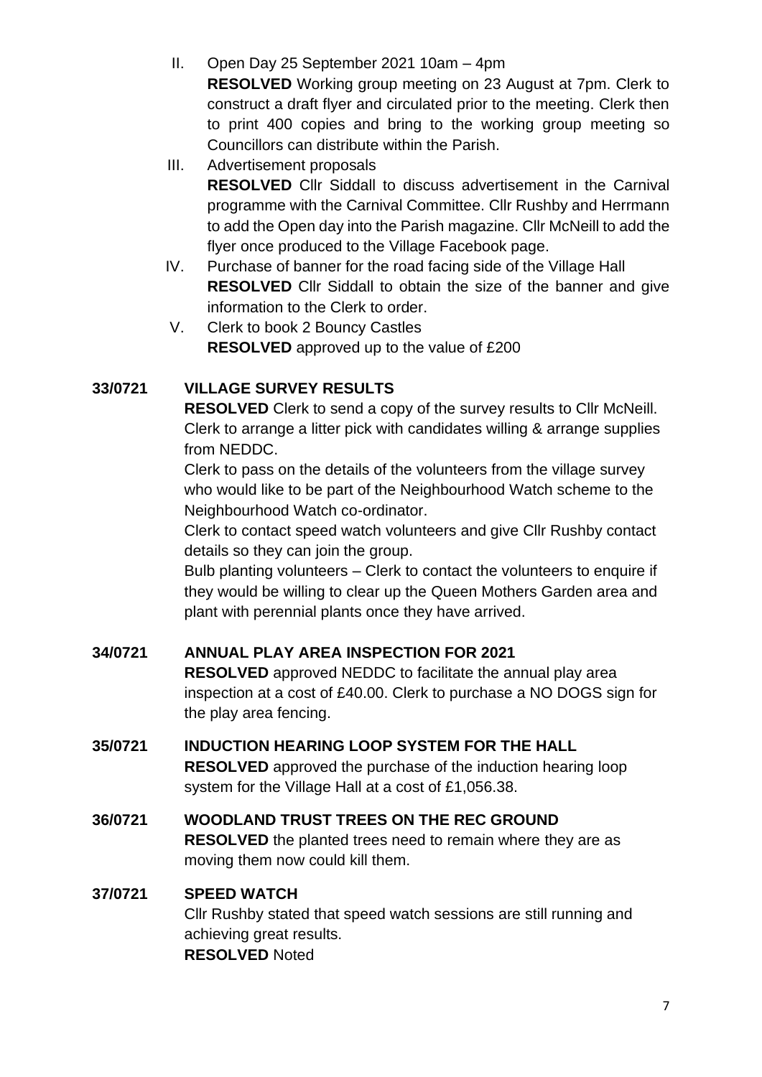- II. Open Day 25 September 2021 10am 4pm **RESOLVED** Working group meeting on 23 August at 7pm. Clerk to construct a draft flyer and circulated prior to the meeting. Clerk then to print 400 copies and bring to the working group meeting so Councillors can distribute within the Parish.
- III. Advertisement proposals

**RESOLVED** Cllr Siddall to discuss advertisement in the Carnival programme with the Carnival Committee. Cllr Rushby and Herrmann to add the Open day into the Parish magazine. Cllr McNeill to add the flyer once produced to the Village Facebook page.

- IV. Purchase of banner for the road facing side of the Village Hall **RESOLVED** Cllr Siddall to obtain the size of the banner and give information to the Clerk to order.
- V. Clerk to book 2 Bouncy Castles **RESOLVED** approved up to the value of £200

## <span id="page-6-0"></span>**33/0721 VILLAGE SURVEY RESULTS**

**RESOLVED** Clerk to send a copy of the survey results to Cllr McNeill. Clerk to arrange a litter pick with candidates willing & arrange supplies from NEDDC.

Clerk to pass on the details of the volunteers from the village survey who would like to be part of the Neighbourhood Watch scheme to the Neighbourhood Watch co-ordinator.

Clerk to contact speed watch volunteers and give Cllr Rushby contact details so they can join the group.

Bulb planting volunteers – Clerk to contact the volunteers to enquire if they would be willing to clear up the Queen Mothers Garden area and plant with perennial plants once they have arrived.

### <span id="page-6-1"></span>**34/0721 ANNUAL PLAY AREA INSPECTION FOR 2021**

**RESOLVED** approved NEDDC to facilitate the annual play area inspection at a cost of £40.00. Clerk to purchase a NO DOGS sign for the play area fencing.

# <span id="page-6-2"></span>**35/0721 INDUCTION HEARING LOOP SYSTEM FOR THE HALL**

**RESOLVED** approved the purchase of the induction hearing loop system for the Village Hall at a cost of £1,056.38.

# <span id="page-6-3"></span>**36/0721 WOODLAND TRUST TREES ON THE REC GROUND**

**RESOLVED** the planted trees need to remain where they are as moving them now could kill them.

### <span id="page-6-4"></span>**37/0721 SPEED WATCH**

Cllr Rushby stated that speed watch sessions are still running and achieving great results. **RESOLVED** Noted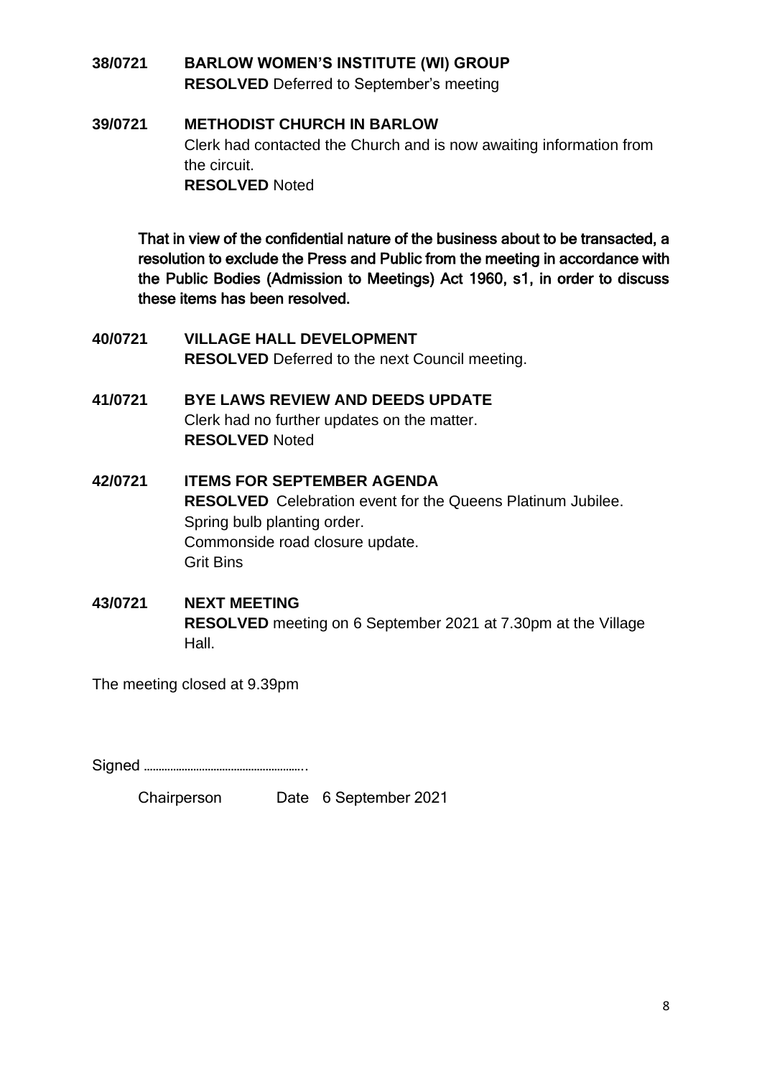## <span id="page-7-0"></span>**38/0721 BARLOW WOMEN'S INSTITUTE (WI) GROUP RESOLVED** Deferred to September's meeting

## <span id="page-7-1"></span>**39/0721 METHODIST CHURCH IN BARLOW** Clerk had contacted the Church and is now awaiting information from the circuit. **RESOLVED** Noted

That in view of the confidential nature of the business about to be transacted, a resolution to exclude the Press and Public from the meeting in accordance with the Public Bodies (Admission to Meetings) Act 1960, s1, in order to discuss these items has been resolved.

- <span id="page-7-2"></span>**40/0721 VILLAGE HALL DEVELOPMENT RESOLVED** Deferred to the next Council meeting.
- <span id="page-7-3"></span>**41/0721 BYE LAWS REVIEW AND DEEDS UPDATE** Clerk had no further updates on the matter. **RESOLVED** Noted
- <span id="page-7-4"></span>**42/0721 ITEMS FOR SEPTEMBER AGENDA RESOLVED** Celebration event for the Queens Platinum Jubilee. Spring bulb planting order. Commonside road closure update. Grit Bins
- <span id="page-7-5"></span>**43/0721 NEXT MEETING RESOLVED** meeting on 6 September 2021 at 7.30pm at the Village Hall.

The meeting closed at 9.39pm

Signed ………………………………………………..

Chairperson Date 6 September 2021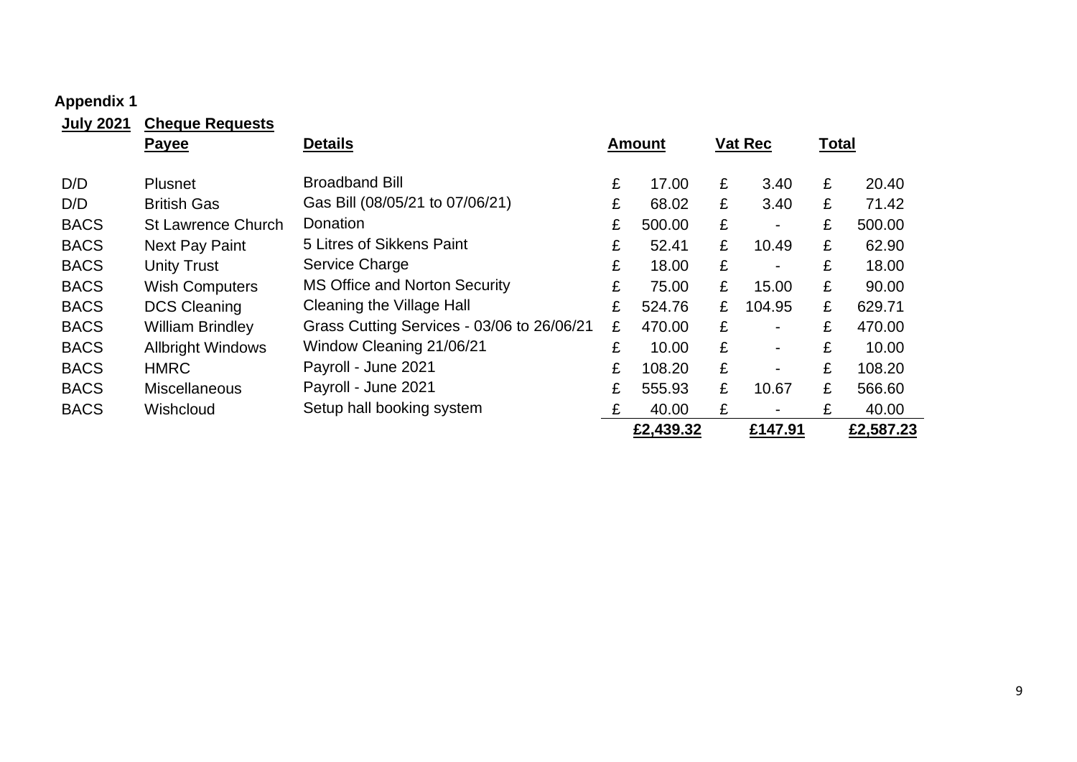#### **Appendix 1**

<span id="page-8-0"></span>

| <b>July 2021</b> | <b>Cheque Requests</b>    |                                            |   |               |   |                          |              |           |
|------------------|---------------------------|--------------------------------------------|---|---------------|---|--------------------------|--------------|-----------|
|                  | <b>Payee</b>              | <b>Details</b>                             |   | <b>Amount</b> |   | Vat Rec                  | <b>Total</b> |           |
| D/D              | <b>Plusnet</b>            | <b>Broadband Bill</b>                      | £ | 17.00         | £ | 3.40                     | £            | 20.40     |
| D/D              | <b>British Gas</b>        | Gas Bill (08/05/21 to 07/06/21)            | £ | 68.02         | £ | 3.40                     | £            | 71.42     |
| <b>BACS</b>      | <b>St Lawrence Church</b> | Donation                                   | £ | 500.00        | £ | $\blacksquare$           | £            | 500.00    |
| <b>BACS</b>      | Next Pay Paint            | 5 Litres of Sikkens Paint                  | £ | 52.41         | £ | 10.49                    | £            | 62.90     |
| <b>BACS</b>      | <b>Unity Trust</b>        | Service Charge                             | £ | 18.00         | £ | $\blacksquare$           | £            | 18.00     |
| <b>BACS</b>      | <b>Wish Computers</b>     | <b>MS Office and Norton Security</b>       | £ | 75.00         | £ | 15.00                    | £            | 90.00     |
| <b>BACS</b>      | <b>DCS Cleaning</b>       | <b>Cleaning the Village Hall</b>           | £ | 524.76        | £ | 104.95                   | £            | 629.71    |
| <b>BACS</b>      | <b>William Brindley</b>   | Grass Cutting Services - 03/06 to 26/06/21 | £ | 470.00        | £ | $\overline{\phantom{0}}$ | £            | 470.00    |
| <b>BACS</b>      | <b>Allbright Windows</b>  | Window Cleaning 21/06/21                   | £ | 10.00         | £ | $\blacksquare$           | £            | 10.00     |
| <b>BACS</b>      | <b>HMRC</b>               | Payroll - June 2021                        | £ | 108.20        | £ | $\blacksquare$           | £            | 108.20    |
| <b>BACS</b>      | <b>Miscellaneous</b>      | Payroll - June 2021                        | £ | 555.93        | £ | 10.67                    | £            | 566.60    |
| <b>BACS</b>      | Wishcloud                 | Setup hall booking system                  | £ | 40.00         | £ | $\blacksquare$           | £            | 40.00     |
|                  |                           |                                            |   | £2,439.32     |   | £147.91                  |              | £2,587.23 |